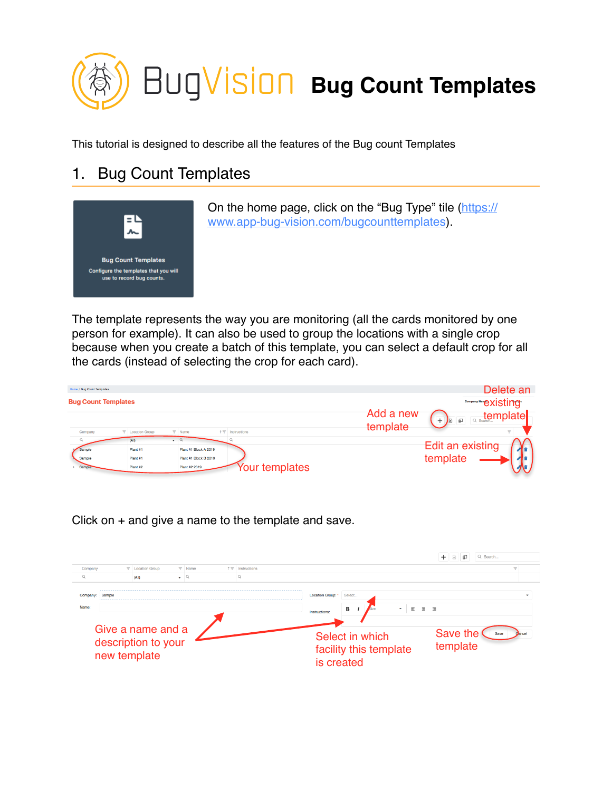

This tutorial is designed to describe all the features of the Bug count Templates

## 1. Bug Count Templates



On the home page, click on the "Bug Type" tile [\(https://](https://www.app-bug-vision.com/bugcounttemplates) [www.app-bug-vision.com/bugcounttemplates](https://www.app-bug-vision.com/bugcounttemplates)).

The template represents the way you are monitoring (all the cards monitored by one person for example). It can also be used to group the locations with a single crop because when you create a batch of this template, you can select a default crop for all the cards (instead of selecting the crop for each card).

| Home / Bug Count Templates |                         |                                                              | Delete an                                                                |
|----------------------------|-------------------------|--------------------------------------------------------------|--------------------------------------------------------------------------|
| <b>Bug Count Templates</b> |                         |                                                              | Company Nam <sub>e</sub> CXisting                                        |
|                            |                         |                                                              | Add a new<br><b>Reservemplate</b><br>  日<br><b>B</b><br>$^+$<br>template |
| Company                    | <b>T</b> Location Group | $\nabla$ Name<br>$\uparrow \overline{\uparrow}$ Instructions |                                                                          |
| $\alpha$                   | (A)                     | $ \alpha$                                                    | <b>Edit an existing</b>                                                  |
| Sample                     | Plant #1                | Plant #1 Block A 2019                                        |                                                                          |
| Sample                     | Plant #1                | Plant #1 Block B 2019                                        | template                                                                 |
| Sample                     | Plant #2                | Your templates<br>Plant #2 2019                              |                                                                          |

Click on + and give a name to the template and save.